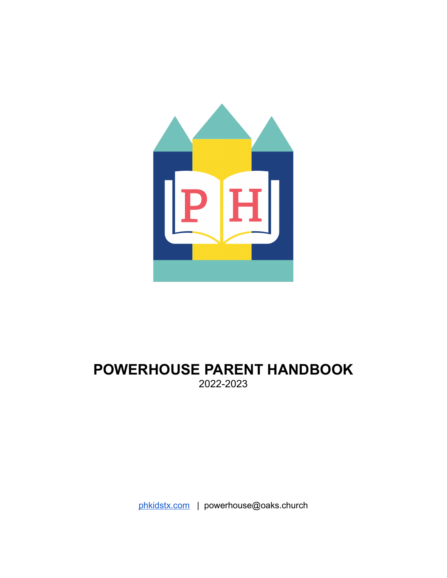

# **POWERHOUSE PARENT HANDBOOK** 2022-2023

[phkidstx.com](http://phkidstx.com/) | powerhouse@oaks.church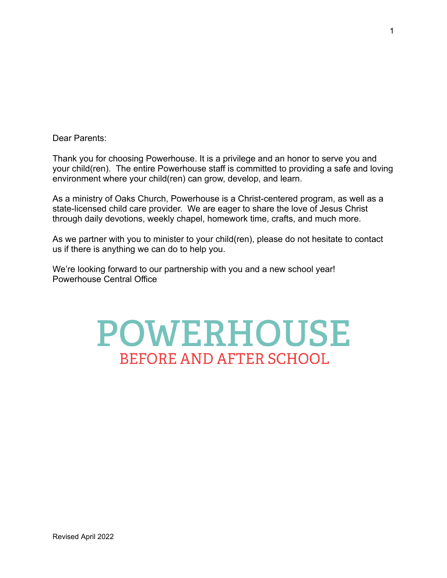Dear Parents:

Thank you for choosing Powerhouse. It is a privilege and an honor to serve you and your child(ren). The entire Powerhouse staff is committed to providing a safe and loving environment where your child(ren) can grow, develop, and learn.

As a ministry of Oaks Church, Powerhouse is a Christ-centered program, as well as a state-licensed child care provider. We are eager to share the love of Jesus Christ through daily devotions, weekly chapel, homework time, crafts, and much more.

As we partner with you to minister to your child(ren), please do not hesitate to contact us if there is anything we can do to help you.

We're looking forward to our partnership with you and a new school year! Powerhouse Central Office

# **POWERHOUSE BEFORE AND AFTER SCHOOL**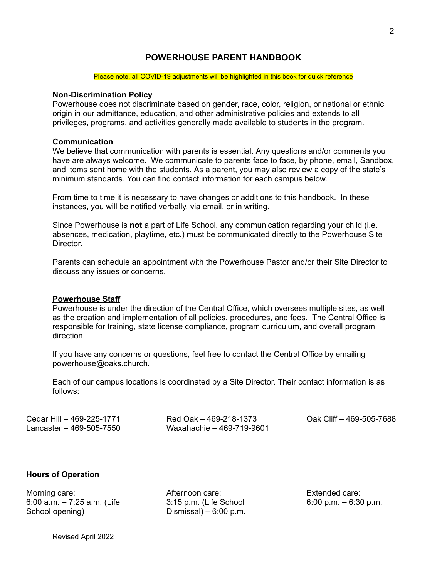### **POWERHOUSE PARENT HANDBOOK**

#### Please note, all COVID-19 adjustments will be highlighted in this book for quick reference

#### **Non-Discrimination Policy**

Powerhouse does not discriminate based on gender, race, color, religion, or national or ethnic origin in our admittance, education, and other administrative policies and extends to all privileges, programs, and activities generally made available to students in the program.

#### **Communication**

We believe that communication with parents is essential. Any questions and/or comments you have are always welcome. We communicate to parents face to face, by phone, email, Sandbox, and items sent home with the students. As a parent, you may also review a copy of the state's minimum standards. You can find contact information for each campus below.

From time to time it is necessary to have changes or additions to this handbook. In these instances, you will be notified verbally, via email, or in writing.

Since Powerhouse is **not** a part of Life School, any communication regarding your child (i.e. absences, medication, playtime, etc.) must be communicated directly to the Powerhouse Site **Director** 

Parents can schedule an appointment with the Powerhouse Pastor and/or their Site Director to discuss any issues or concerns.

#### **Powerhouse Staff**

Powerhouse is under the direction of the Central Office, which oversees multiple sites, as well as the creation and implementation of all policies, procedures, and fees. The Central Office is responsible for training, state license compliance, program curriculum, and overall program direction.

If you have any concerns or questions, feel free to contact the Central Office by emailing powerhouse@oaks.church.

Each of our campus locations is coordinated by a Site Director. Their contact information is as follows:

| Cedar Hill - 469-225-1771 | Red Oak - 469-218-1373    | Oak Cl |
|---------------------------|---------------------------|--------|
| Lancaster - 469-505-7550  | Waxahachie - 469-719-9601 |        |

 $I$ iff – 469-505-7688

#### **Hours of Operation**

Morning care: 6:00 a.m. – 7:25 a.m. (Life School opening)

Afternoon care: 3:15 p.m. (Life School Dismissal) –  $6:00$  p.m.

Extended care: 6:00 p.m. – 6:30 p.m.

Revised April 2022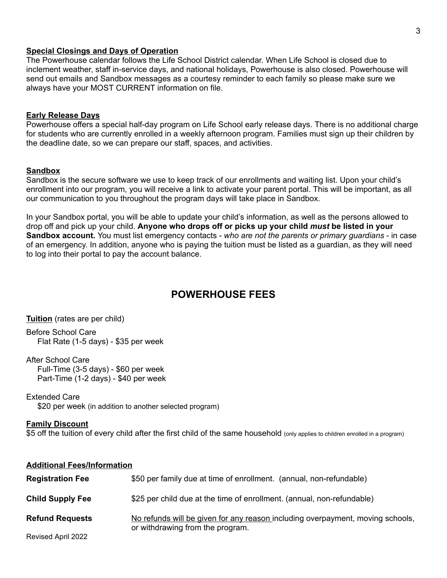#### **Special Closings and Days of Operation**

The Powerhouse calendar follows the Life School District calendar. When Life School is closed due to inclement weather, staff in-service days, and national holidays, Powerhouse is also closed. Powerhouse will send out emails and Sandbox messages as a courtesy reminder to each family so please make sure we always have your MOST CURRENT information on file.

#### **Early Release Days**

Powerhouse offers a special half-day program on Life School early release days. There is no additional charge for students who are currently enrolled in a weekly afternoon program. Families must sign up their children by the deadline date, so we can prepare our staff, spaces, and activities.

#### **Sandbox**

Sandbox is the secure software we use to keep track of our enrollments and waiting list. Upon your child's enrollment into our program, you will receive a link to activate your parent portal. This will be important, as all our communication to you throughout the program days will take place in Sandbox.

In your Sandbox portal, you will be able to update your child's information, as well as the persons allowed to drop off and pick up your child. **Anyone who drops off or picks up your child** *must* **be listed in your Sandbox account.** You must list emergency contacts - *who are not the parents or primary guardians* - in case of an emergency. In addition, anyone who is paying the tuition must be listed as a guardian, as they will need to log into their portal to pay the account balance.

## **POWERHOUSE FEES**

**Tuition** (rates are per child)

Before School Care Flat Rate (1-5 days) - \$35 per week

After School Care

Full-Time (3-5 days) - \$60 per week Part-Time (1-2 days) - \$40 per week

Extended Care

\$20 per week (in addition to another selected program)

#### **Family Discount**

\$5 off the tuition of every child after the first child of the same household (only applies to children enrolled in a program)

| <b>Additional Fees/Information</b> |                                                                                                                    |
|------------------------------------|--------------------------------------------------------------------------------------------------------------------|
| <b>Registration Fee</b>            | \$50 per family due at time of enrollment. (annual, non-refundable)                                                |
| <b>Child Supply Fee</b>            | \$25 per child due at the time of enrollment. (annual, non-refundable)                                             |
| <b>Refund Requests</b>             | No refunds will be given for any reason including overpayment, moving schools,<br>or withdrawing from the program. |
| Revised April 2022                 |                                                                                                                    |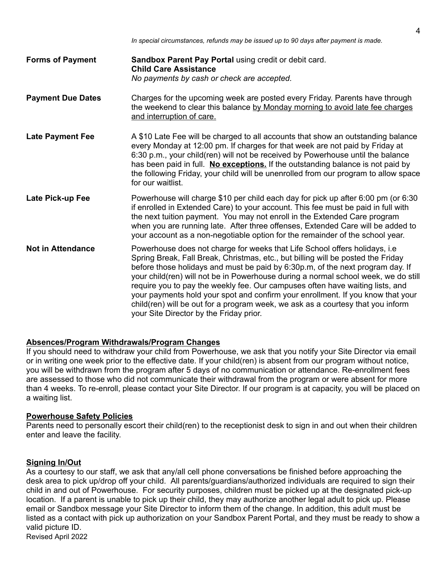- **Forms of Payment Sandbox Parent Pay Portal** using credit or debit card. **Child Care Assistance** *No payments by cash or check are accepted.*
- **Payment Due Dates** Charges for the upcoming week are posted every Friday. Parents have through the weekend to clear this balance by Monday morning to avoid late fee charges and interruption of care.
- **Late Payment Fee** A \$10 Late Fee will be charged to all accounts that show an outstanding balance every Monday at 12:00 pm. If charges for that week are not paid by Friday at 6:30 p.m., your child(ren) will not be received by Powerhouse until the balance has been paid in full. **No exceptions.** If the outstanding balance is not paid by the following Friday, your child will be unenrolled from our program to allow space for our waitlist.
- **Late Pick-up Fee** Powerhouse will charge \$10 per child each day for pick up after 6:00 pm (or 6:30 if enrolled in Extended Care) to your account. This fee must be paid in full with the next tuition payment. You may not enroll in the Extended Care program when you are running late. After three offenses, Extended Care will be added to your account as a non-negotiable option for the remainder of the school year.
- **Not in Attendance** Powerhouse does not charge for weeks that Life School offers holidays, i.e Spring Break, Fall Break, Christmas, etc., but billing will be posted the Friday before those holidays and must be paid by 6:30p.m, of the next program day. If your child(ren) will not be in Powerhouse during a normal school week, we do still require you to pay the weekly fee. Our campuses often have waiting lists, and your payments hold your spot and confirm your enrollment. If you know that your child(ren) will be out for a program week, we ask as a courtesy that you inform your Site Director by the Friday prior.

#### **Absences/Program Withdrawals/Program Changes**

If you should need to withdraw your child from Powerhouse, we ask that you notify your Site Director via email or in writing one week prior to the effective date. If your child(ren) is absent from our program without notice, you will be withdrawn from the program after 5 days of no communication or attendance. Re-enrollment fees are assessed to those who did not communicate their withdrawal from the program or were absent for more than 4 weeks. To re-enroll, please contact your Site Director. If our program is at capacity, you will be placed on a waiting list.

#### **Powerhouse Safety Policies**

Parents need to personally escort their child(ren) to the receptionist desk to sign in and out when their children enter and leave the facility.

#### **Signing In/Out**

As a courtesy to our staff, we ask that any/all cell phone conversations be finished before approaching the desk area to pick up/drop off your child. All parents/guardians/authorized individuals are required to sign their child in and out of Powerhouse. For security purposes, children must be picked up at the designated pick-up location. If a parent is unable to pick up their child, they may authorize another legal adult to pick up. Please email or Sandbox message your Site Director to inform them of the change. In addition, this adult must be listed as a contact with pick up authorization on your Sandbox Parent Portal, and they must be ready to show a valid picture ID.

Revised April 2022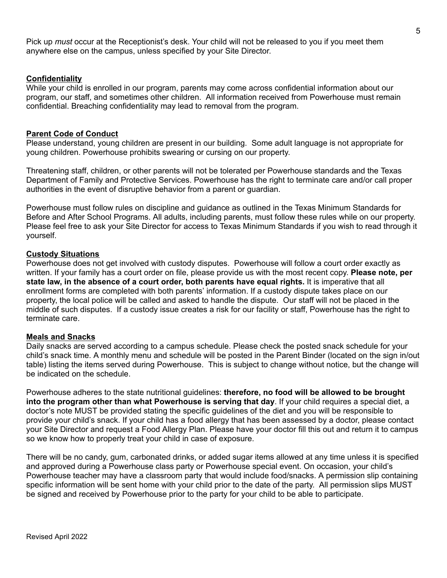Pick up *must* occur at the Receptionist's desk. Your child will not be released to you if you meet them anywhere else on the campus, unless specified by your Site Director.

#### **Confidentiality**

While your child is enrolled in our program, parents may come across confidential information about our program, our staff, and sometimes other children. All information received from Powerhouse must remain confidential. Breaching confidentiality may lead to removal from the program.

#### **Parent Code of Conduct**

Please understand, young children are present in our building. Some adult language is not appropriate for young children. Powerhouse prohibits swearing or cursing on our property.

Threatening staff, children, or other parents will not be tolerated per Powerhouse standards and the Texas Department of Family and Protective Services. Powerhouse has the right to terminate care and/or call proper authorities in the event of disruptive behavior from a parent or guardian.

Powerhouse must follow rules on discipline and guidance as outlined in the Texas Minimum Standards for Before and After School Programs. All adults, including parents, must follow these rules while on our property. Please feel free to ask your Site Director for access to Texas Minimum Standards if you wish to read through it yourself.

#### **Custody Situations**

Powerhouse does not get involved with custody disputes. Powerhouse will follow a court order exactly as written. If your family has a court order on file, please provide us with the most recent copy. **Please note, per state law, in the absence of a court order, both parents have equal rights.** It is imperative that all enrollment forms are completed with both parents' information. If a custody dispute takes place on our property, the local police will be called and asked to handle the dispute. Our staff will not be placed in the middle of such disputes. If a custody issue creates a risk for our facility or staff, Powerhouse has the right to terminate care.

#### **Meals and Snacks**

Daily snacks are served according to a campus schedule. Please check the posted snack schedule for your child's snack time. A monthly menu and schedule will be posted in the Parent Binder (located on the sign in/out table) listing the items served during Powerhouse. This is subject to change without notice, but the change will be indicated on the schedule.

Powerhouse adheres to the state nutritional guidelines: **therefore, no food will be allowed to be brought into the program other than what Powerhouse is serving that day**. If your child requires a special diet, a doctor's note MUST be provided stating the specific guidelines of the diet and you will be responsible to provide your child's snack. If your child has a food allergy that has been assessed by a doctor, please contact your Site Director and request a Food Allergy Plan. Please have your doctor fill this out and return it to campus so we know how to properly treat your child in case of exposure.

There will be no candy, gum, carbonated drinks, or added sugar items allowed at any time unless it is specified and approved during a Powerhouse class party or Powerhouse special event. On occasion, your child's Powerhouse teacher may have a classroom party that would include food/snacks. A permission slip containing specific information will be sent home with your child prior to the date of the party. All permission slips MUST be signed and received by Powerhouse prior to the party for your child to be able to participate.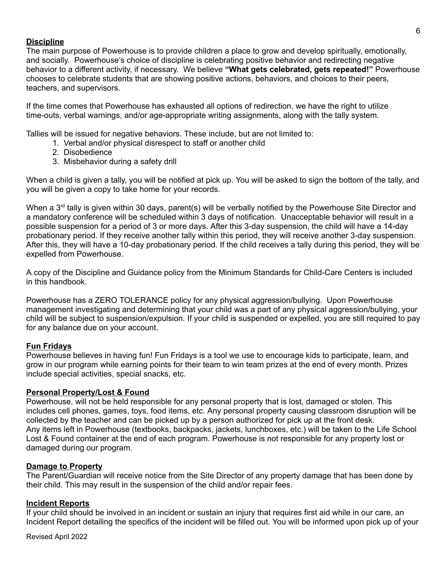#### **Discipline**

The main purpose of Powerhouse is to provide children a place to grow and develop spiritually, emotionally, and socially. Powerhouse's choice of discipline is celebrating positive behavior and redirecting negative behavior to a different activity, if necessary. We believe **"What gets celebrated, gets repeated!"** Powerhouse chooses to celebrate students that are showing positive actions, behaviors, and choices to their peers, teachers, and supervisors.

If the time comes that Powerhouse has exhausted all options of redirection, we have the right to utilize time-outs, verbal warnings, and/or age-appropriate writing assignments, along with the tally system.

Tallies will be issued for negative behaviors. These include, but are not limited to:

- 1. Verbal and/or physical disrespect to staff or another child
- 2. Disobedience
- 3. Misbehavior during a safety drill

When a child is given a tally, you will be notified at pick up. You will be asked to sign the bottom of the tally, and you will be given a copy to take home for your records.

When a 3<sup>rd</sup> tally is given within 30 days, parent(s) will be verbally notified by the Powerhouse Site Director and a mandatory conference will be scheduled within 3 days of notification. Unacceptable behavior will result in a possible suspension for a period of 3 or more days. After this 3-day suspension, the child will have a 14-day probationary period. If they receive another tally within this period, they will receive another 3-day suspension. After this, they will have a 10-day probationary period. If the child receives a tally during this period, they will be expelled from Powerhouse.

A copy of the Discipline and Guidance policy from the Minimum Standards for Child-Care Centers is included in this handbook.

Powerhouse has a ZERO TOLERANCE policy for any physical aggression/bullying. Upon Powerhouse management investigating and determining that your child was a part of any physical aggression/bullying, your child will be subject to suspension/expulsion. If your child is suspended or expelled, you are still required to pay for any balance due on your account.

#### **Fun Fridays**

Powerhouse believes in having fun! Fun Fridays is a tool we use to encourage kids to participate, learn, and grow in our program while earning points for their team to win team prizes at the end of every month. Prizes include special activities, special snacks, etc.

#### **Personal Property/Lost & Found**

Powerhouse, will not be held responsible for any personal property that is lost, damaged or stolen. This includes cell phones, games, toys, food items, etc. Any personal property causing classroom disruption will be collected by the teacher and can be picked up by a person authorized for pick up at the front desk. Any items left in Powerhouse (textbooks, backpacks, jackets, lunchboxes, etc.) will be taken to the Life School Lost & Found container at the end of each program. Powerhouse is not responsible for any property lost or damaged during our program.

#### **Damage to Property**

The Parent/Guardian will receive notice from the Site Director of any property damage that has been done by their child. This may result in the suspension of the child and/or repair fees.

#### **Incident Reports**

If your child should be involved in an incident or sustain an injury that requires first aid while in our care, an Incident Report detailing the specifics of the incident will be filled out. You will be informed upon pick up of your

Revised April 2022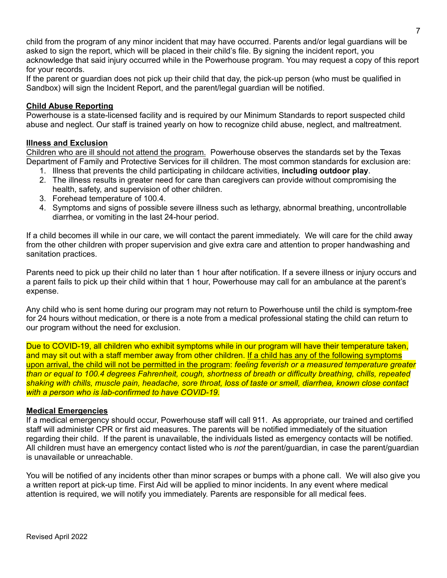child from the program of any minor incident that may have occurred. Parents and/or legal guardians will be asked to sign the report, which will be placed in their child's file. By signing the incident report, you acknowledge that said injury occurred while in the Powerhouse program. You may request a copy of this report for your records.

If the parent or guardian does not pick up their child that day, the pick-up person (who must be qualified in Sandbox) will sign the Incident Report, and the parent/legal guardian will be notified.

#### **Child Abuse Reporting**

Powerhouse is a state-licensed facility and is required by our Minimum Standards to report suspected child abuse and neglect. Our staff is trained yearly on how to recognize child abuse, neglect, and maltreatment.

#### **Illness and Exclusion**

Children who are ill should not attend the program. Powerhouse observes the standards set by the Texas Department of Family and Protective Services for ill children. The most common standards for exclusion are:

- 1. Illness that prevents the child participating in childcare activities, **including outdoor play**.
- 2. The illness results in greater need for care than caregivers can provide without compromising the health, safety, and supervision of other children.
- 3. Forehead temperature of 100.4.
- 4. Symptoms and signs of possible severe illness such as lethargy, abnormal breathing, uncontrollable diarrhea, or vomiting in the last 24-hour period.

If a child becomes ill while in our care, we will contact the parent immediately. We will care for the child away from the other children with proper supervision and give extra care and attention to proper handwashing and sanitation practices.

Parents need to pick up their child no later than 1 hour after notification. If a severe illness or injury occurs and a parent fails to pick up their child within that 1 hour, Powerhouse may call for an ambulance at the parent's expense.

Any child who is sent home during our program may not return to Powerhouse until the child is symptom-free for 24 hours without medication, or there is a note from a medical professional stating the child can return to our program without the need for exclusion.

Due to COVID-19, all children who exhibit symptoms while in our program will have their temperature taken, and may sit out with a staff member away from other children. If a child has any of the following symptoms upon arrival, the child will not be permitted in the program: *feeling feverish or a measured temperature greater than or equal to 100.4 degrees Fahrenheit, cough, shortness of breath or difficulty breathing, chills, repeated* shaking with chills, muscle pain, headache, sore throat, loss of taste or smell, diarrhea, known close contact *with a person who is lab-confirmed to have COVID-19.*

#### **Medical Emergencies**

If a medical emergency should occur, Powerhouse staff will call 911. As appropriate, our trained and certified staff will administer CPR or first aid measures. The parents will be notified immediately of the situation regarding their child. If the parent is unavailable, the individuals listed as emergency contacts will be notified. All children must have an emergency contact listed who is *not* the parent/guardian, in case the parent/guardian is unavailable or unreachable.

You will be notified of any incidents other than minor scrapes or bumps with a phone call. We will also give you a written report at pick-up time. First Aid will be applied to minor incidents. In any event where medical attention is required, we will notify you immediately. Parents are responsible for all medical fees.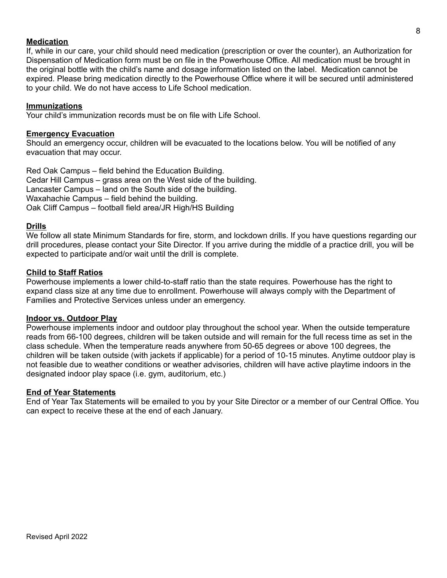#### 8

#### **Medication**

If, while in our care, your child should need medication (prescription or over the counter), an Authorization for Dispensation of Medication form must be on file in the Powerhouse Office. All medication must be brought in the original bottle with the child's name and dosage information listed on the label. Medication cannot be expired. Please bring medication directly to the Powerhouse Office where it will be secured until administered to your child. We do not have access to Life School medication.

#### **Immunizations**

Your child's immunization records must be on file with Life School.

#### **Emergency Evacuation**

Should an emergency occur, children will be evacuated to the locations below. You will be notified of any evacuation that may occur.

Red Oak Campus – field behind the Education Building. Cedar Hill Campus – grass area on the West side of the building. Lancaster Campus – land on the South side of the building. Waxahachie Campus – field behind the building. Oak Cliff Campus – football field area/JR High/HS Building

#### **Drills**

We follow all state Minimum Standards for fire, storm, and lockdown drills. If you have questions regarding our drill procedures, please contact your Site Director. If you arrive during the middle of a practice drill, you will be expected to participate and/or wait until the drill is complete.

#### **Child to Staff Ratios**

Powerhouse implements a lower child-to-staff ratio than the state requires. Powerhouse has the right to expand class size at any time due to enrollment. Powerhouse will always comply with the Department of Families and Protective Services unless under an emergency.

#### **Indoor vs. Outdoor Play**

Powerhouse implements indoor and outdoor play throughout the school year. When the outside temperature reads from 66-100 degrees, children will be taken outside and will remain for the full recess time as set in the class schedule. When the temperature reads anywhere from 50-65 degrees or above 100 degrees, the children will be taken outside (with jackets if applicable) for a period of 10-15 minutes. Anytime outdoor play is not feasible due to weather conditions or weather advisories, children will have active playtime indoors in the designated indoor play space (i.e. gym, auditorium, etc.)

#### **End of Year Statements**

End of Year Tax Statements will be emailed to you by your Site Director or a member of our Central Office. You can expect to receive these at the end of each January.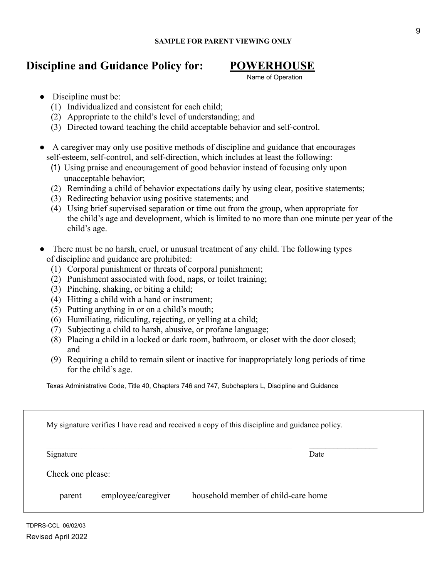# **Discipline and Guidance Policy for: POWERHOUSE**

Name of Operation

- Discipline must be:
	- (1) Individualized and consistent for each child;
	- (2) Appropriate to the child's level of understanding; and
	- (3) Directed toward teaching the child acceptable behavior and self-control.
- A caregiver may only use positive methods of discipline and guidance that encourages self-esteem, self-control, and self-direction, which includes at least the following:
	- (1) Using praise and encouragement of good behavior instead of focusing only upon unacceptable behavior;
	- (2) Reminding a child of behavior expectations daily by using clear, positive statements;
	- (3) Redirecting behavior using positive statements; and
	- (4) Using brief supervised separation or time out from the group, when appropriate for the child's age and development, which is limited to no more than one minute per year of the child's age.
- There must be no harsh, cruel, or unusual treatment of any child. The following types of discipline and guidance are prohibited:
	- (1) Corporal punishment or threats of corporal punishment;
	- (2) Punishment associated with food, naps, or toilet training;
	- (3) Pinching, shaking, or biting a child;
	- (4) Hitting a child with a hand or instrument;
	- (5) Putting anything in or on a child's mouth;
	- (6) Humiliating, ridiculing, rejecting, or yelling at a child;
	- (7) Subjecting a child to harsh, abusive, or profane language;
	- (8) Placing a child in a locked or dark room, bathroom, or closet with the door closed; and
	- (9) Requiring a child to remain silent or inactive for inappropriately long periods of time for the child's age.

Texas Administrative Code, Title 40, Chapters 746 and 747, Subchapters L, Discipline and Guidance

| Signature         | Date |
|-------------------|------|
|                   |      |
|                   |      |
|                   |      |
| Check one please: |      |

TDPRS-CCL 06/02/03 Revised April 2022

I